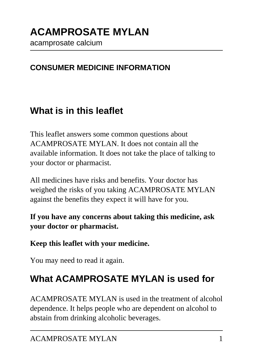acamprosate calcium

### **CONSUMER MEDICINE INFORMATION**

## **What is in this leaflet**

This leaflet answers some common questions about ACAMPROSATE MYLAN. It does not contain all the available information. It does not take the place of talking to your doctor or pharmacist.

All medicines have risks and benefits. Your doctor has weighed the risks of you taking ACAMPROSATE MYLAN against the benefits they expect it will have for you.

**If you have any concerns about taking this medicine, ask your doctor or pharmacist.**

#### **Keep this leaflet with your medicine.**

You may need to read it again.

## **What ACAMPROSATE MYLAN is used for**

ACAMPROSATE MYLAN is used in the treatment of alcohol dependence. It helps people who are dependent on alcohol to abstain from drinking alcoholic beverages.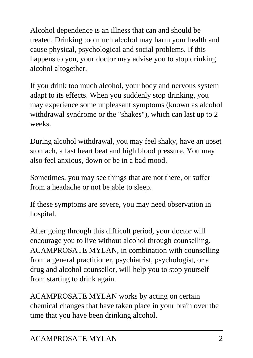Alcohol dependence is an illness that can and should be treated. Drinking too much alcohol may harm your health and cause physical, psychological and social problems. If this happens to you, your doctor may advise you to stop drinking alcohol altogether.

If you drink too much alcohol, your body and nervous system adapt to its effects. When you suddenly stop drinking, you may experience some unpleasant symptoms (known as alcohol withdrawal syndrome or the "shakes"), which can last up to 2 weeks.

During alcohol withdrawal, you may feel shaky, have an upset stomach, a fast heart beat and high blood pressure. You may also feel anxious, down or be in a bad mood.

Sometimes, you may see things that are not there, or suffer from a headache or not be able to sleep.

If these symptoms are severe, you may need observation in hospital.

After going through this difficult period, your doctor will encourage you to live without alcohol through counselling. ACAMPROSATE MYLAN, in combination with counselling from a general practitioner, psychiatrist, psychologist, or a drug and alcohol counsellor, will help you to stop yourself from starting to drink again.

ACAMPROSATE MYLAN works by acting on certain chemical changes that have taken place in your brain over the time that you have been drinking alcohol.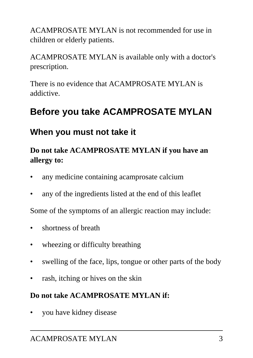ACAMPROSATE MYLAN is not recommended for use in children or elderly patients.

ACAMPROSATE MYLAN is available only with a doctor's prescription.

There is no evidence that ACAMPROSATE MYLAN is addictive.

## **Before you take ACAMPROSATE MYLAN**

### **When you must not take it**

#### **Do not take ACAMPROSATE MYLAN if you have an allergy to:**

- any medicine containing acamprosate calcium
- any of the ingredients listed at the end of this leaflet

Some of the symptoms of an allergic reaction may include:

- shortness of breath
- wheezing or difficulty breathing
- swelling of the face, lips, tongue or other parts of the body
- rash, itching or hives on the skin

#### **Do not take ACAMPROSATE MYLAN if:**

• you have kidney disease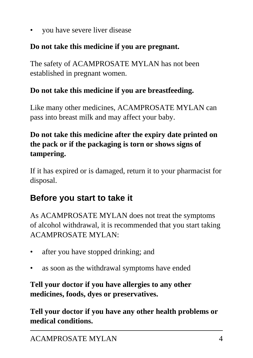• you have severe liver disease

#### **Do not take this medicine if you are pregnant.**

The safety of ACAMPROSATE MYLAN has not been established in pregnant women.

#### **Do not take this medicine if you are breastfeeding.**

Like many other medicines, ACAMPROSATE MYLAN can pass into breast milk and may affect your baby.

### **Do not take this medicine after the expiry date printed on the pack or if the packaging is torn or shows signs of tampering.**

If it has expired or is damaged, return it to your pharmacist for disposal.

## **Before you start to take it**

As ACAMPROSATE MYLAN does not treat the symptoms of alcohol withdrawal, it is recommended that you start taking ACAMPROSATE MYLAN:

- after you have stopped drinking; and
- as soon as the withdrawal symptoms have ended

**Tell your doctor if you have allergies to any other medicines, foods, dyes or preservatives.**

**Tell your doctor if you have any other health problems or medical conditions.**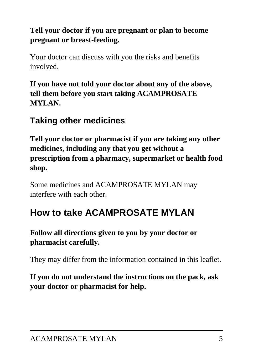### **Tell your doctor if you are pregnant or plan to become pregnant or breast-feeding.**

Your doctor can discuss with you the risks and benefits involved.

**If you have not told your doctor about any of the above, tell them before you start taking ACAMPROSATE MYLAN.**

### **Taking other medicines**

**Tell your doctor or pharmacist if you are taking any other medicines, including any that you get without a prescription from a pharmacy, supermarket or health food shop.**

Some medicines and ACAMPROSATE MYLAN may interfere with each other.

## **How to take ACAMPROSATE MYLAN**

#### **Follow all directions given to you by your doctor or pharmacist carefully.**

They may differ from the information contained in this leaflet.

**If you do not understand the instructions on the pack, ask your doctor or pharmacist for help.**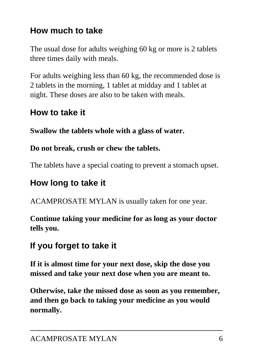## **How much to take**

The usual dose for adults weighing 60 kg or more is 2 tablets three times daily with meals.

For adults weighing less than 60 kg, the recommended dose is 2 tablets in the morning, 1 tablet at midday and 1 tablet at night. These doses are also to be taken with meals.

## **How to take it**

**Swallow the tablets whole with a glass of water.**

### **Do not break, crush or chew the tablets.**

The tablets have a special coating to prevent a stomach upset.

## **How long to take it**

ACAMPROSATE MYLAN is usually taken for one year.

**Continue taking your medicine for as long as your doctor tells you.**

## **If you forget to take it**

**If it is almost time for your next dose, skip the dose you missed and take your next dose when you are meant to.**

**Otherwise, take the missed dose as soon as you remember, and then go back to taking your medicine as you would normally.**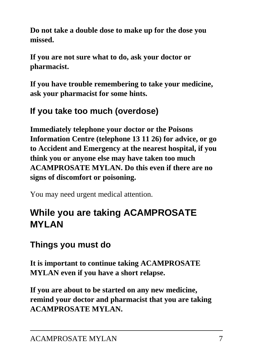**Do not take a double dose to make up for the dose you missed.**

**If you are not sure what to do, ask your doctor or pharmacist.**

**If you have trouble remembering to take your medicine, ask your pharmacist for some hints.**

## **If you take too much (overdose)**

**Immediately telephone your doctor or the Poisons Information Centre (telephone 13 11 26) for advice, or go to Accident and Emergency at the nearest hospital, if you think you or anyone else may have taken too much ACAMPROSATE MYLAN. Do this even if there are no signs of discomfort or poisoning.**

You may need urgent medical attention.

# **While you are taking ACAMPROSATE MYLAN**

## **Things you must do**

**It is important to continue taking ACAMPROSATE MYLAN even if you have a short relapse.**

**If you are about to be started on any new medicine, remind your doctor and pharmacist that you are taking ACAMPROSATE MYLAN.**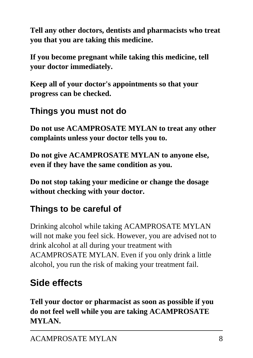**Tell any other doctors, dentists and pharmacists who treat you that you are taking this medicine.**

**If you become pregnant while taking this medicine, tell your doctor immediately.**

**Keep all of your doctor's appointments so that your progress can be checked.**

## **Things you must not do**

**Do not use ACAMPROSATE MYLAN to treat any other complaints unless your doctor tells you to.**

**Do not give ACAMPROSATE MYLAN to anyone else, even if they have the same condition as you.**

**Do not stop taking your medicine or change the dosage without checking with your doctor.**

# **Things to be careful of**

Drinking alcohol while taking ACAMPROSATE MYLAN will not make you feel sick. However, you are advised not to drink alcohol at all during your treatment with ACAMPROSATE MYLAN. Even if you only drink a little alcohol, you run the risk of making your treatment fail.

# **Side effects**

**Tell your doctor or pharmacist as soon as possible if you do not feel well while you are taking ACAMPROSATE MYLAN.**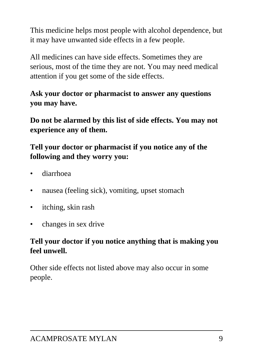This medicine helps most people with alcohol dependence, but it may have unwanted side effects in a few people.

All medicines can have side effects. Sometimes they are serious, most of the time they are not. You may need medical attention if you get some of the side effects.

### **Ask your doctor or pharmacist to answer any questions you may have.**

**Do not be alarmed by this list of side effects. You may not experience any of them.**

### **Tell your doctor or pharmacist if you notice any of the following and they worry you:**

- diarrhoea
- nausea (feeling sick), vomiting, upset stomach
- itching, skin rash
- changes in sex drive

### **Tell your doctor if you notice anything that is making you feel unwell.**

Other side effects not listed above may also occur in some people.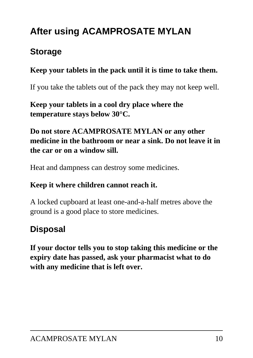# **After using ACAMPROSATE MYLAN**

## **Storage**

### **Keep your tablets in the pack until it is time to take them.**

If you take the tablets out of the pack they may not keep well.

**Keep your tablets in a cool dry place where the temperature stays below 30°C.**

#### **Do not store ACAMPROSATE MYLAN or any other medicine in the bathroom or near a sink. Do not leave it in the car or on a window sill.**

Heat and dampness can destroy some medicines.

#### **Keep it where children cannot reach it.**

A locked cupboard at least one-and-a-half metres above the ground is a good place to store medicines.

## **Disposal**

**If your doctor tells you to stop taking this medicine or the expiry date has passed, ask your pharmacist what to do with any medicine that is left over.**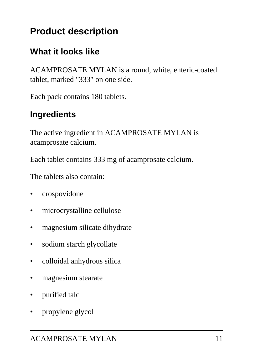# **Product description**

### **What it looks like**

ACAMPROSATE MYLAN is a round, white, enteric-coated tablet, marked "333" on one side.

Each pack contains 180 tablets.

### **Ingredients**

The active ingredient in ACAMPROSATE MYLAN is acamprosate calcium.

Each tablet contains 333 mg of acamprosate calcium.

The tablets also contain:

- crospovidone
- microcrystalline cellulose
- magnesium silicate dihydrate
- sodium starch glycollate
- colloidal anhydrous silica
- magnesium stearate
- purified talc
- propylene glycol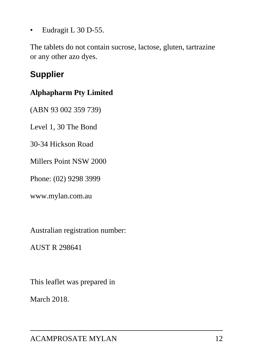• Eudragit L 30 D-55.

The tablets do not contain sucrose, lactose, gluten, tartrazine or any other azo dyes.

## **Supplier**

#### **Alphapharm Pty Limited**

(ABN 93 002 359 739)

Level 1, 30 The Bond

30-34 Hickson Road

Millers Point NSW 2000

Phone: (02) 9298 3999

www.mylan.com.au

Australian registration number:

AUST R 298641

This leaflet was prepared in

March 2018.